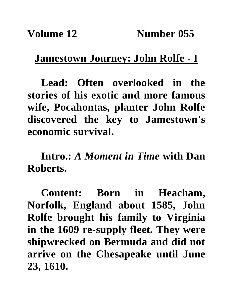## **Jamestown Journey: John Rolfe - I**

**Lead: Often overlooked in the stories of his exotic and more famous wife, Pocahontas, planter John Rolfe discovered the key to Jamestown's economic survival.**

**Intro.:** *A Moment in Time* **with Dan Roberts.**

**Content: Born in Heacham, Norfolk, England about 1585, John Rolfe brought his family to Virginia in the 1609 re-supply fleet. They were shipwrecked on Bermuda and did not arrive on the Chesapeake until June 23, 1610.**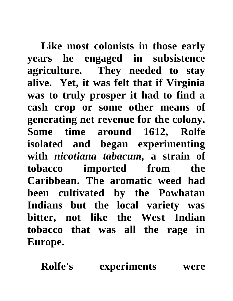**Like most colonists in those early years he engaged in subsistence agriculture. They needed to stay alive. Yet, it was felt that if Virginia was to truly prosper it had to find a cash crop or some other means of generating net revenue for the colony. Some time around 1612, Rolfe isolated and began experimenting with** *nicotiana tabacum,* **a strain of tobacco imported from the Caribbean. The aromatic weed had been cultivated by the Powhatan Indians but the local variety was bitter, not like the West Indian tobacco that was all the rage in Europe.**

**Rolfe's experiments were**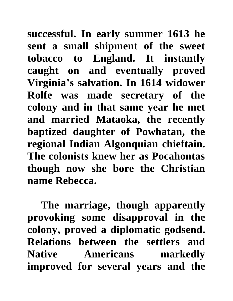**successful. In early summer 1613 he sent a small shipment of the sweet tobacco to England. It instantly caught on and eventually proved Virginia's salvation. In 1614 widower Rolfe was made secretary of the colony and in that same year he met and married Mataoka, the recently baptized daughter of Powhatan, the regional Indian Algonquian chieftain. The colonists knew her as Pocahontas though now she bore the Christian name Rebecca.**

**The marriage, though apparently provoking some disapproval in the colony, proved a diplomatic godsend. Relations between the settlers and Native Americans markedly improved for several years and the**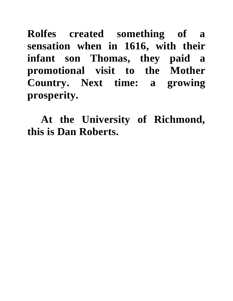**Rolfes created something of a sensation when in 1616, with their infant son Thomas, they paid a promotional visit to the Mother Country. Next time: a growing prosperity.**

**At the University of Richmond, this is Dan Roberts.**